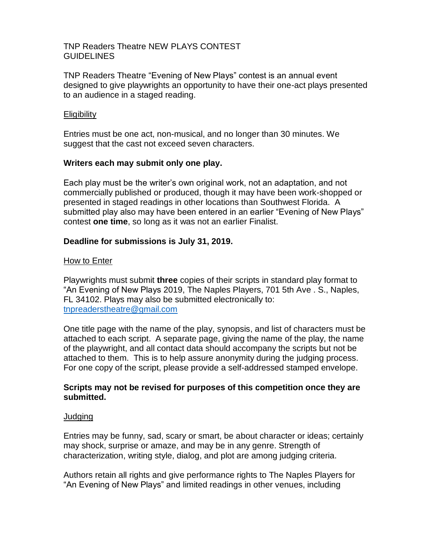### TNP Readers Theatre NEW PLAYS CONTEST GUIDELINES

TNP Readers Theatre "Evening of New Plays" contest is an annual event designed to give playwrights an opportunity to have their one-act plays presented to an audience in a staged reading.

### **Eligibility**

Entries must be one act, non-musical, and no longer than 30 minutes. We suggest that the cast not exceed seven characters.

### **Writers each may submit only one play.**

Each play must be the writer's own original work, not an adaptation, and not commercially published or produced, though it may have been work-shopped or presented in staged readings in other locations than Southwest Florida. A submitted play also may have been entered in an earlier "Evening of New Plays" contest **one time**, so long as it was not an earlier Finalist.

# **Deadline for submissions is July 31, 2019.**

### How to Enter

Playwrights must submit **three** copies of their scripts in standard play format to "An Evening of New Plays 2019, The Naples Players, 701 5th Ave . S., Naples, FL 34102. Plays may also be submitted electronically to: [tnpreaderstheatre@gmail.com](mailto:tnpreaderstheatre@gmail.com)

One title page with the name of the play, synopsis, and list of characters must be attached to each script. A separate page, giving the name of the play, the name of the playwright, and all contact data should accompany the scripts but not be attached to them. This is to help assure anonymity during the judging process. For one copy of the script, please provide a self-addressed stamped envelope.

# **Scripts may not be revised for purposes of this competition once they are submitted.**

#### Judging

Entries may be funny, sad, scary or smart, be about character or ideas; certainly may shock, surprise or amaze, and may be in any genre. Strength of characterization, writing style, dialog, and plot are among judging criteria.

Authors retain all rights and give performance rights to The Naples Players for "An Evening of New Plays" and limited readings in other venues, including